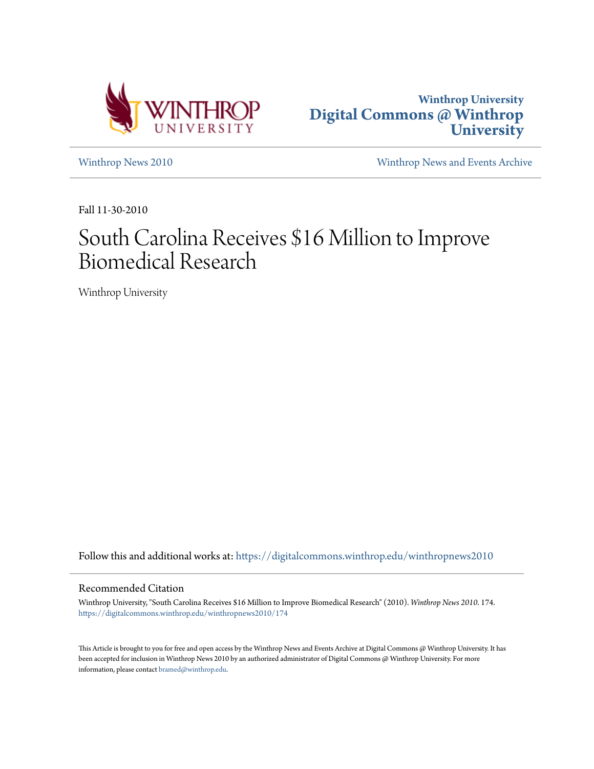



[Winthrop News 2010](https://digitalcommons.winthrop.edu/winthropnews2010?utm_source=digitalcommons.winthrop.edu%2Fwinthropnews2010%2F174&utm_medium=PDF&utm_campaign=PDFCoverPages) [Winthrop News and Events Archive](https://digitalcommons.winthrop.edu/winthropnewsarchives?utm_source=digitalcommons.winthrop.edu%2Fwinthropnews2010%2F174&utm_medium=PDF&utm_campaign=PDFCoverPages)

Fall 11-30-2010

# South Carolina Receives \$16 Million to Improve Biomedical Research

Winthrop University

Follow this and additional works at: [https://digitalcommons.winthrop.edu/winthropnews2010](https://digitalcommons.winthrop.edu/winthropnews2010?utm_source=digitalcommons.winthrop.edu%2Fwinthropnews2010%2F174&utm_medium=PDF&utm_campaign=PDFCoverPages)

### Recommended Citation

Winthrop University, "South Carolina Receives \$16 Million to Improve Biomedical Research" (2010). *Winthrop News 2010*. 174. [https://digitalcommons.winthrop.edu/winthropnews2010/174](https://digitalcommons.winthrop.edu/winthropnews2010/174?utm_source=digitalcommons.winthrop.edu%2Fwinthropnews2010%2F174&utm_medium=PDF&utm_campaign=PDFCoverPages)

This Article is brought to you for free and open access by the Winthrop News and Events Archive at Digital Commons @ Winthrop University. It has been accepted for inclusion in Winthrop News 2010 by an authorized administrator of Digital Commons @ Winthrop University. For more information, please contact [bramed@winthrop.edu](mailto:bramed@winthrop.edu).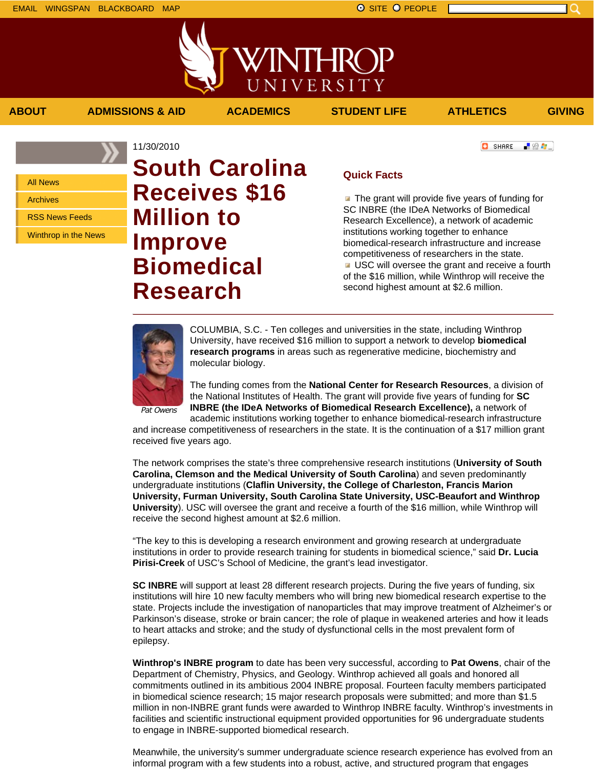■ 验考...

**C** SHARE

All News

Archives

RSS News Feeds

Winthrop in the News

## 11/30/2010 **South Carolina Receives \$16 Million to Improve Biomedical Research**

**ABOUT ADMISSIONS & AID ACADEMICS STUDENT LIFE ATHLETICS GIVING**

WINTHROP

UNIVERSITY

 $\blacksquare$  The grant will provide five years of funding for SC INBRE (the IDeA Networks of Biomedical Research Excellence), a network of academic institutions working together to enhance biomedical-research infrastructure and increase competitiveness of researchers in the state. USC will oversee the grant and receive a fourth of the \$16 million, while Winthrop will receive the second highest amount at \$2.6 million.



COLUMBIA, S.C. - Ten colleges and universities in the state, including Winthrop University, have received \$16 million to support a network to develop **biomedical research programs** in areas such as regenerative medicine, biochemistry and molecular biology.

**Quick Facts**

The funding comes from the **National Center for Research Resources**, a division of the National Institutes of Health. The grant will provide five years of funding for **SC INBRE (the IDeA Networks of Biomedical Research Excellence),** a network of

academic institutions working together to enhance biomedical-research infrastructure and increase competitiveness of researchers in the state. It is the continuation of a \$17 million grant received five years ago.

The network comprises the state's three comprehensive research institutions (**University of South Carolina, Clemson and the Medical University of South Carolina**) and seven predominantly undergraduate institutions (**Claflin University, the College of Charleston, Francis Marion University, Furman University, South Carolina State University, USC-Beaufort and Winthrop University**). USC will oversee the grant and receive a fourth of the \$16 million, while Winthrop will receive the second highest amount at \$2.6 million.

"The key to this is developing a research environment and growing research at undergraduate institutions in order to provide research training for students in biomedical science," said **Dr. Lucia Pirisi-Creek** of USC's School of Medicine, the grant's lead investigator.

**SC INBRE** will support at least 28 different research projects. During the five years of funding, six institutions will hire 10 new faculty members who will bring new biomedical research expertise to the state. Projects include the investigation of nanoparticles that may improve treatment of Alzheimer's or Parkinson's disease, stroke or brain cancer; the role of plaque in weakened arteries and how it leads to heart attacks and stroke; and the study of dysfunctional cells in the most prevalent form of epilepsy.

**Winthrop's INBRE program** to date has been very successful, according to **Pat Owens**, chair of the Department of Chemistry, Physics, and Geology. Winthrop achieved all goals and honored all commitments outlined in its ambitious 2004 INBRE proposal. Fourteen faculty members participated in biomedical science research; 15 major research proposals were submitted; and more than \$1.5 million in non-INBRE grant funds were awarded to Winthrop INBRE faculty. Winthrop's investments in facilities and scientific instructional equipment provided opportunities for 96 undergraduate students to engage in INBRE-supported biomedical research.

Meanwhile, the university's summer undergraduate science research experience has evolved from an informal program with a few students into a robust, active, and structured program that engages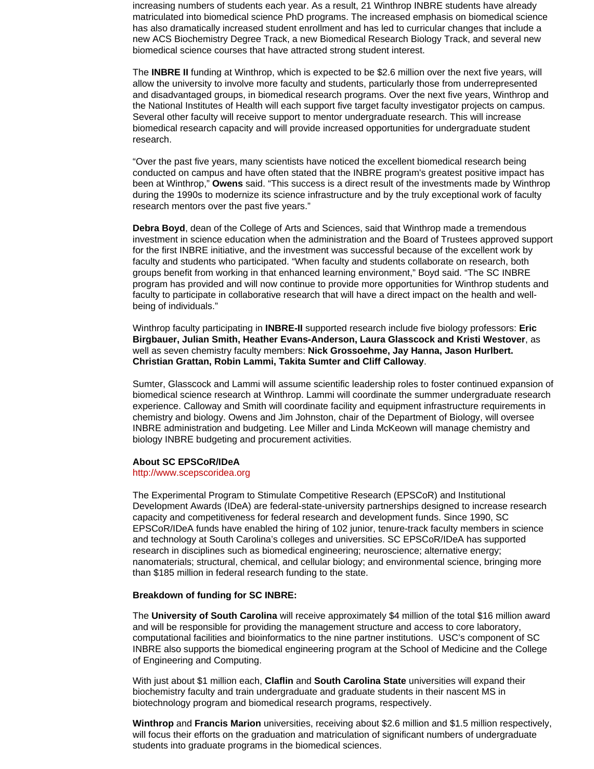increasing numbers of students each year. As a result, 21 Winthrop INBRE students have already matriculated into biomedical science PhD programs. The increased emphasis on biomedical science has also dramatically increased student enrollment and has led to curricular changes that include a new ACS Biochemistry Degree Track, a new Biomedical Research Biology Track, and several new biomedical science courses that have attracted strong student interest.

The **INBRE II** funding at Winthrop, which is expected to be \$2.6 million over the next five years, will allow the university to involve more faculty and students, particularly those from underrepresented and disadvantaged groups, in biomedical research programs. Over the next five years, Winthrop and the National Institutes of Health will each support five target faculty investigator projects on campus. Several other faculty will receive support to mentor undergraduate research. This will increase biomedical research capacity and will provide increased opportunities for undergraduate student research.

"Over the past five years, many scientists have noticed the excellent biomedical research being conducted on campus and have often stated that the INBRE program's greatest positive impact has been at Winthrop," **Owens** said. "This success is a direct result of the investments made by Winthrop during the 1990s to modernize its science infrastructure and by the truly exceptional work of faculty research mentors over the past five years."

**Debra Boyd**, dean of the College of Arts and Sciences, said that Winthrop made a tremendous investment in science education when the administration and the Board of Trustees approved support for the first INBRE initiative, and the investment was successful because of the excellent work by faculty and students who participated. "When faculty and students collaborate on research, both groups benefit from working in that enhanced learning environment," Boyd said. "The SC INBRE program has provided and will now continue to provide more opportunities for Winthrop students and faculty to participate in collaborative research that will have a direct impact on the health and wellbeing of individuals."

Winthrop faculty participating in **INBRE-II** supported research include five biology professors: **Eric Birgbauer, Julian Smith, Heather Evans-Anderson, Laura Glasscock and Kristi Westover**, as well as seven chemistry faculty members: **Nick Grossoehme, Jay Hanna, Jason Hurlbert. Christian Grattan, Robin Lammi, Takita Sumter and Cliff Calloway**.

Sumter, Glasscock and Lammi will assume scientific leadership roles to foster continued expansion of biomedical science research at Winthrop. Lammi will coordinate the summer undergraduate research experience. Calloway and Smith will coordinate facility and equipment infrastructure requirements in chemistry and biology. Owens and Jim Johnston, chair of the Department of Biology, will oversee INBRE administration and budgeting. Lee Miller and Linda McKeown will manage chemistry and biology INBRE budgeting and procurement activities.

#### **About SC EPSCoR/IDeA**

#### http://www.scepscoridea.org

The Experimental Program to Stimulate Competitive Research (EPSCoR) and Institutional Development Awards (IDeA) are federal-state-university partnerships designed to increase research capacity and competitiveness for federal research and development funds. Since 1990, SC EPSCoR/IDeA funds have enabled the hiring of 102 junior, tenure-track faculty members in science and technology at South Carolina's colleges and universities. SC EPSCoR/IDeA has supported research in disciplines such as biomedical engineering; neuroscience; alternative energy; nanomaterials; structural, chemical, and cellular biology; and environmental science, bringing more than \$185 million in federal research funding to the state.

#### **Breakdown of funding for SC INBRE:**

The **University of South Carolina** will receive approximately \$4 million of the total \$16 million award and will be responsible for providing the management structure and access to core laboratory, computational facilities and bioinformatics to the nine partner institutions. USC's component of SC INBRE also supports the biomedical engineering program at the School of Medicine and the College of Engineering and Computing.

With just about \$1 million each, **Claflin** and **South Carolina State** universities will expand their biochemistry faculty and train undergraduate and graduate students in their nascent MS in biotechnology program and biomedical research programs, respectively.

**Winthrop** and **Francis Marion** universities, receiving about \$2.6 million and \$1.5 million respectively, will focus their efforts on the graduation and matriculation of significant numbers of undergraduate students into graduate programs in the biomedical sciences.